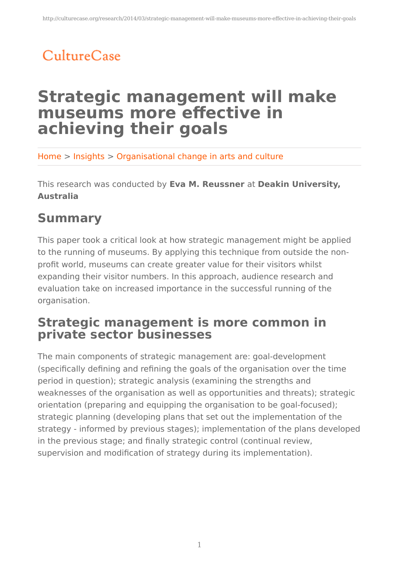# CultureCase

## **Strategic management will make museums more effective in achieving their goals**

Home > Insights > Organisational change in arts and culture

This research was conducted by **Eva M. Reussner** at **Deakin University, Australia**

### **Summary**

This paper took a critical look at how strategic management might be applied to the running of museums. By applying this technique from outside the nonprofit world, museums can create greater value for their visitors whilst expanding their visitor numbers. In this approach, audience research and evaluation take on increased importance in the successful running of the organisation.

#### **Strategic management is more common in private sector businesses**

The main components of strategic management are: goal-development (specifically defining and refining the goals of the organisation over the time period in question); strategic analysis (examining the strengths and weaknesses of the organisation as well as opportunities and threats); strategic orientation (preparing and equipping the organisation to be goal-focused); strategic planning (developing plans that set out the implementation of the strategy - informed by previous stages); implementation of the plans developed in the previous stage; and finally strategic control (continual review, supervision and modification of strategy during its implementation).